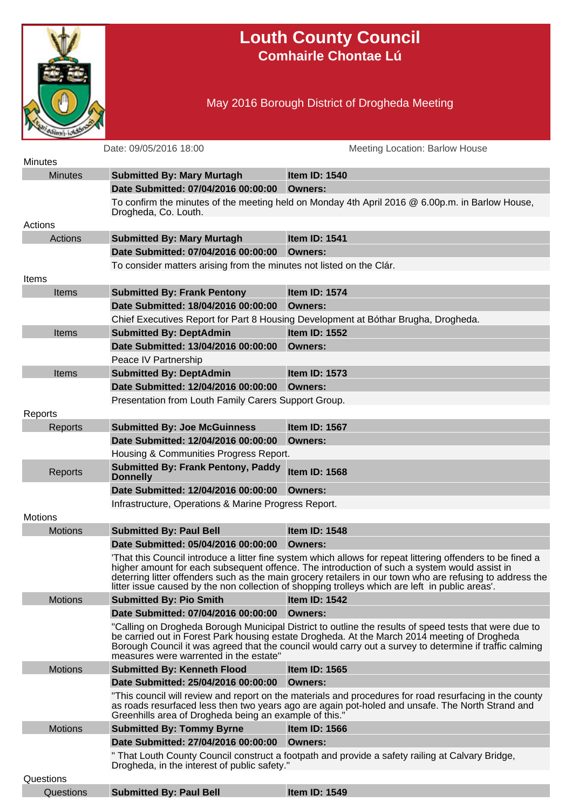

## **Louth County Council Comhairle Chontae Lú**

## May 2016 Borough District of Drogheda Meeting

|                | Date: 09/05/2016 18:00                                               | Meeting Location: Barlow House                                                                                                                                                                                                                                                                                                                                                                                             |
|----------------|----------------------------------------------------------------------|----------------------------------------------------------------------------------------------------------------------------------------------------------------------------------------------------------------------------------------------------------------------------------------------------------------------------------------------------------------------------------------------------------------------------|
| <b>Minutes</b> |                                                                      |                                                                                                                                                                                                                                                                                                                                                                                                                            |
| <b>Minutes</b> | <b>Submitted By: Mary Murtagh</b>                                    | <b>Item ID: 1540</b>                                                                                                                                                                                                                                                                                                                                                                                                       |
|                | Date Submitted: 07/04/2016 00:00:00                                  | Owners:                                                                                                                                                                                                                                                                                                                                                                                                                    |
|                | Drogheda, Co. Louth.                                                 | To confirm the minutes of the meeting held on Monday 4th April 2016 @ 6.00p.m. in Barlow House,                                                                                                                                                                                                                                                                                                                            |
| Actions        |                                                                      |                                                                                                                                                                                                                                                                                                                                                                                                                            |
| Actions        | <b>Submitted By: Mary Murtagh</b>                                    | Item ID: 1541                                                                                                                                                                                                                                                                                                                                                                                                              |
|                | Date Submitted: 07/04/2016 00:00:00 Owners:                          |                                                                                                                                                                                                                                                                                                                                                                                                                            |
|                | To consider matters arising from the minutes not listed on the Clár. |                                                                                                                                                                                                                                                                                                                                                                                                                            |
| Items          |                                                                      |                                                                                                                                                                                                                                                                                                                                                                                                                            |
| <b>Items</b>   | <b>Submitted By: Frank Pentony</b>                                   | Item ID: 1574                                                                                                                                                                                                                                                                                                                                                                                                              |
|                | Date Submitted: 18/04/2016 00:00:00                                  | Owners:                                                                                                                                                                                                                                                                                                                                                                                                                    |
|                |                                                                      | Chief Executives Report for Part 8 Housing Development at Bóthar Brugha, Drogheda.                                                                                                                                                                                                                                                                                                                                         |
| <b>Items</b>   | <b>Submitted By: DeptAdmin</b>                                       | Item ID: 1552                                                                                                                                                                                                                                                                                                                                                                                                              |
|                | Date Submitted: 13/04/2016 00:00:00                                  | Owners:                                                                                                                                                                                                                                                                                                                                                                                                                    |
|                | Peace IV Partnership                                                 |                                                                                                                                                                                                                                                                                                                                                                                                                            |
| <b>Items</b>   | <b>Submitted By: DeptAdmin</b>                                       | <b>Item ID: 1573</b>                                                                                                                                                                                                                                                                                                                                                                                                       |
|                | Date Submitted: 12/04/2016 00:00:00                                  | Owners:                                                                                                                                                                                                                                                                                                                                                                                                                    |
|                | Presentation from Louth Family Carers Support Group.                 |                                                                                                                                                                                                                                                                                                                                                                                                                            |
| Reports        |                                                                      |                                                                                                                                                                                                                                                                                                                                                                                                                            |
| Reports        | <b>Submitted By: Joe McGuinness</b>                                  | Item ID: 1567                                                                                                                                                                                                                                                                                                                                                                                                              |
|                | Date Submitted: 12/04/2016 00:00:00                                  | Owners:                                                                                                                                                                                                                                                                                                                                                                                                                    |
|                | Housing & Communities Progress Report.                               |                                                                                                                                                                                                                                                                                                                                                                                                                            |
| Reports        | <b>Submitted By: Frank Pentony, Paddy</b><br><b>Donnelly</b>         | <b>Item ID: 1568</b>                                                                                                                                                                                                                                                                                                                                                                                                       |
|                | Date Submitted: 12/04/2016 00:00:00                                  | Owners:                                                                                                                                                                                                                                                                                                                                                                                                                    |
|                | Infrastructure, Operations & Marine Progress Report.                 |                                                                                                                                                                                                                                                                                                                                                                                                                            |
| <b>Motions</b> |                                                                      |                                                                                                                                                                                                                                                                                                                                                                                                                            |
| <b>Motions</b> | <b>Submitted By: Paul Bell</b>                                       | <b>Item ID: 1548</b>                                                                                                                                                                                                                                                                                                                                                                                                       |
|                | Date Submitted: 05/04/2016 00:00:00                                  | Owners:                                                                                                                                                                                                                                                                                                                                                                                                                    |
|                |                                                                      | That this Council introduce a litter fine system which allows for repeat littering offenders to be fined a<br>higher amount for each subsequent offence. The introduction of such a system would assist in<br>deterring litter offenders such as the main grocery retailers in our town who are refusing to address the<br>litter issue caused by the non collection of shopping trolleys which are left in public areas'. |
| <b>Motions</b> | <b>Submitted By: Pio Smith</b>                                       | <b>Item ID: 1542</b>                                                                                                                                                                                                                                                                                                                                                                                                       |
|                | Date Submitted: 07/04/2016 00:00:00                                  | Owners:                                                                                                                                                                                                                                                                                                                                                                                                                    |
|                | measures were warrented in the estate"                               | "Calling on Drogheda Borough Municipal District to outline the results of speed tests that were due to<br>be carried out in Forest Park housing estate Drogheda. At the March 2014 meeting of Drogheda<br>Borough Council it was agreed that the council would carry out a survey to determine if traffic calming                                                                                                          |
| <b>Motions</b> | <b>Submitted By: Kenneth Flood</b>                                   | <b>Item ID: 1565</b>                                                                                                                                                                                                                                                                                                                                                                                                       |
|                | Date Submitted: 25/04/2016 00:00:00 Owners:                          |                                                                                                                                                                                                                                                                                                                                                                                                                            |
|                | Greenhills area of Drogheda being an example of this."               | "This council will review and report on the materials and procedures for road resurfacing in the county<br>as roads resurfaced less then two years ago are again pot-holed and unsafe. The North Strand and                                                                                                                                                                                                                |
| <b>Motions</b> | <b>Submitted By: Tommy Byrne</b>                                     | Item ID: 1566                                                                                                                                                                                                                                                                                                                                                                                                              |
|                | Date Submitted: 27/04/2016 00:00:00 Owners:                          |                                                                                                                                                                                                                                                                                                                                                                                                                            |
|                | Drogheda, in the interest of public safety."                         | " That Louth County Council construct a footpath and provide a safety railing at Calvary Bridge,                                                                                                                                                                                                                                                                                                                           |
| Questions      |                                                                      |                                                                                                                                                                                                                                                                                                                                                                                                                            |
| Questions      | <b>Submitted By: Paul Bell</b>                                       | Item ID: 1549                                                                                                                                                                                                                                                                                                                                                                                                              |